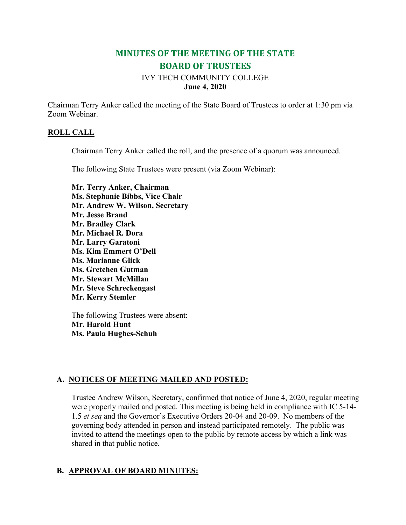# **MINUTES OF THE MEETING OF THE STATE BOARD OF TRUSTEES**

## IVY TECH COMMUNITY COLLEGE **June 4, 2020**

Chairman Terry Anker called the meeting of the State Board of Trustees to order at 1:30 pm via Zoom Webinar.

### **ROLL CALL**

Chairman Terry Anker called the roll, and the presence of a quorum was announced.

The following State Trustees were present (via Zoom Webinar):

**Mr. Terry Anker, Chairman Ms. Stephanie Bibbs, Vice Chair Mr. Andrew W. Wilson, Secretary Mr. Jesse Brand Mr. Bradley Clark Mr. Michael R. Dora Mr. Larry Garatoni Ms. Kim Emmert O'Dell Ms. Marianne Glick Ms. Gretchen Gutman Mr. Stewart McMillan Mr. Steve Schreckengast Mr. Kerry Stemler**

The following Trustees were absent: **Mr. Harold Hunt Ms. Paula Hughes-Schuh**

## **A. NOTICES OF MEETING MAILED AND POSTED:**

Trustee Andrew Wilson, Secretary, confirmed that notice of June 4, 2020, regular meeting were properly mailed and posted. This meeting is being held in compliance with IC 5-14- 1.5 *et seq* and the Governor's Executive Orders 20-04 and 20-09. No members of the governing body attended in person and instead participated remotely. The public was invited to attend the meetings open to the public by remote access by which a link was shared in that public notice.

## **B. APPROVAL OF BOARD MINUTES:**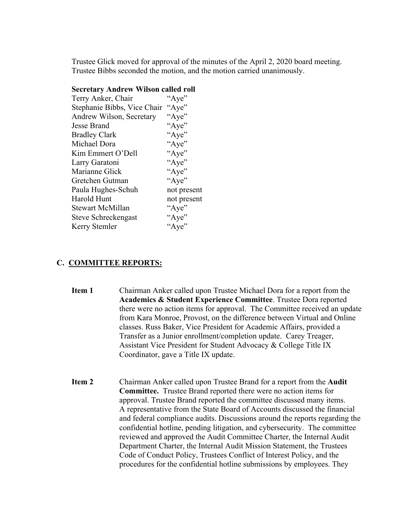Trustee Glick moved for approval of the minutes of the April 2, 2020 board meeting. Trustee Bibbs seconded the motion, and the motion carried unanimously.

#### **Secretary Andrew Wilson called roll**

| Terry Anker, Chair          | "Aye"       |
|-----------------------------|-------------|
| Stephanie Bibbs, Vice Chair | "Aye"       |
| Andrew Wilson, Secretary    | "Aye"       |
| Jesse Brand                 | "Aye"       |
| <b>Bradley Clark</b>        | "Aye"       |
| Michael Dora                | "Aye"       |
| Kim Emmert O'Dell           | "Aye"       |
| Larry Garatoni              | "Aye"       |
| Marianne Glick              | "Aye"       |
| Gretchen Gutman             | "Aye"       |
| Paula Hughes-Schuh          | not present |
| Harold Hunt                 | not present |
| <b>Stewart McMillan</b>     | "Aye"       |
| Steve Schreckengast         | "Aye"       |
| Kerry Stemler               | "Aye"       |
|                             |             |

### **C. COMMITTEE REPORTS:**

- **Item 1** Chairman Anker called upon Trustee Michael Dora for a report from the **Academics & Student Experience Committee**. Trustee Dora reported there were no action items for approval. The Committee received an update from Kara Monroe, Provost, on the difference between Virtual and Online classes. Russ Baker, Vice President for Academic Affairs, provided a Transfer as a Junior enrollment/completion update. Carey Treager, Assistant Vice President for Student Advocacy & College Title IX Coordinator, gave a Title IX update.
- **Item 2** Chairman Anker called upon Trustee Brand for a report from the **Audit Committee.** Trustee Brand reported there were no action items for approval. Trustee Brand reported the committee discussed many items. A representative from the State Board of Accounts discussed the financial and federal compliance audits. Discussions around the reports regarding the confidential hotline, pending litigation, and cybersecurity. The committee reviewed and approved the Audit Committee Charter, the Internal Audit Department Charter, the Internal Audit Mission Statement, the Trustees Code of Conduct Policy, Trustees Conflict of Interest Policy, and the procedures for the confidential hotline submissions by employees. They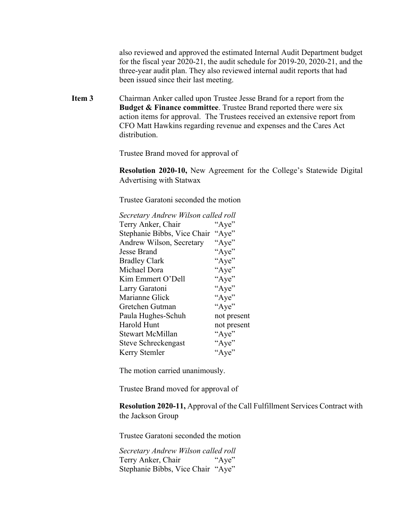also reviewed and approved the estimated Internal Audit Department budget for the fiscal year 2020-21, the audit schedule for 2019-20, 2020-21, and the three-year audit plan. They also reviewed internal audit reports that had been issued since their last meeting.

**Item 3** Chairman Anker called upon Trustee Jesse Brand for a report from the **Budget & Finance committee**. Trustee Brand reported there were six action items for approval. The Trustees received an extensive report from CFO Matt Hawkins regarding revenue and expenses and the Cares Act distribution.

Trustee Brand moved for approval of

**Resolution 2020-10,** New Agreement for the College's Statewide Digital Advertising with Statwax

Trustee Garatoni seconded the motion

| Secretary Andrew Wilson called roll |             |
|-------------------------------------|-------------|
| Terry Anker, Chair                  | "Aye"       |
| Stephanie Bibbs, Vice Chair         | "Aye"       |
| Andrew Wilson, Secretary            | "Aye"       |
| Jesse Brand                         | "Aye"       |
| <b>Bradley Clark</b>                | "Aye"       |
| Michael Dora                        | "Aye"       |
| Kim Emmert O'Dell                   | "Aye"       |
| Larry Garatoni                      | "Aye"       |
| Marianne Glick                      | "Aye"       |
| Gretchen Gutman                     | "Aye"       |
| Paula Hughes-Schuh                  | not present |
| Harold Hunt                         | not present |
| <b>Stewart McMillan</b>             | "Aye"       |
| Steve Schreckengast                 | "Aye"       |
| Kerry Stemler                       | "Aye"       |

The motion carried unanimously.

Trustee Brand moved for approval of

**Resolution 2020-11,** Approval of the Call Fulfillment Services Contract with the Jackson Group

Trustee Garatoni seconded the motion

*Secretary Andrew Wilson called roll* Terry Anker, Chair "Aye" Stephanie Bibbs, Vice Chair "Aye"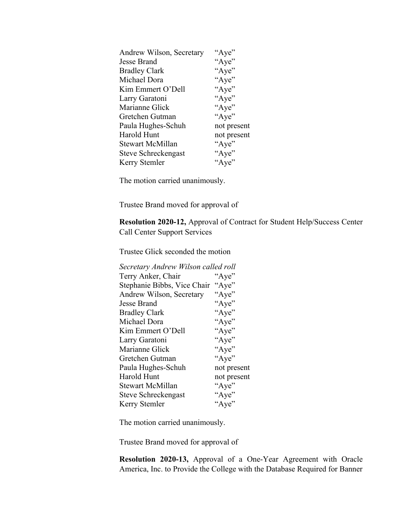| Andrew Wilson, Secretary | "Aye"       |
|--------------------------|-------------|
| Jesse Brand              | "Aye"       |
| <b>Bradley Clark</b>     | "Aye"       |
| Michael Dora             | "Aye"       |
| Kim Emmert O'Dell        | "Aye"       |
| Larry Garatoni           | "Aye"       |
| Marianne Glick           | "Aye"       |
| Gretchen Gutman          | "Aye"       |
| Paula Hughes-Schuh       | not present |
| Harold Hunt              | not present |
| Stewart McMillan         | "Aye"       |
| Steve Schreckengast      | "Aye"       |
| Kerry Stemler            | "Aye"       |
|                          |             |

Trustee Brand moved for approval of

**Resolution 2020-12,** Approval of Contract for Student Help/Success Center Call Center Support Services

Trustee Glick seconded the motion

| Secretary Andrew Wilson called roll  |
|--------------------------------------|
| "Aye"                                |
| Stephanie Bibbs, Vice Chair<br>"Aye" |
| "Aye"                                |
| "Aye"                                |
| "Aye"                                |
| "Aye"                                |
| "Aye"                                |
| "Aye"                                |
| "Aye"                                |
| "Aye"                                |
| not present                          |
| not present                          |
| "Aye"                                |
| "Aye"                                |
| "Aye"                                |
|                                      |

The motion carried unanimously.

Trustee Brand moved for approval of

**Resolution 2020-13,** Approval of a One-Year Agreement with Oracle America, Inc. to Provide the College with the Database Required for Banner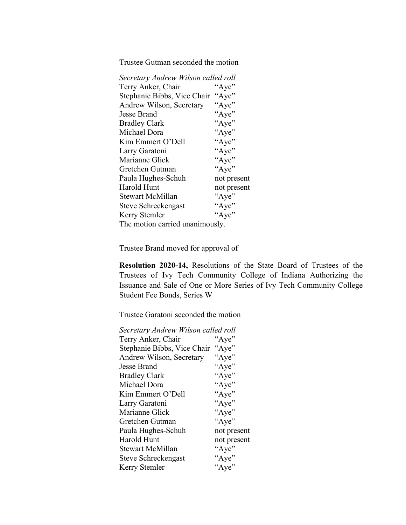Trustee Gutman seconded the motion

| Secretary Andrew Wilson called roll |             |
|-------------------------------------|-------------|
| Terry Anker, Chair                  | "Aye"       |
| Stephanie Bibbs, Vice Chair         | "Aye"       |
| Andrew Wilson, Secretary            | "Aye"       |
| Jesse Brand                         | "Aye"       |
| <b>Bradley Clark</b>                | "Aye"       |
| Michael Dora                        | "Aye"       |
| Kim Emmert O'Dell                   | "Aye"       |
| Larry Garatoni                      | "Aye"       |
| Marianne Glick                      | "Aye"       |
| Gretchen Gutman                     | "Aye"       |
| Paula Hughes-Schuh                  | not present |
| Harold Hunt                         | not present |
| Stewart McMillan                    | "Aye"       |
| Steve Schreckengast                 | "Aye"       |
| Kerry Stemler                       | "Aye"       |
| The motion carried unanimously.     |             |

Trustee Brand moved for approval of

**Resolution 2020-14,** Resolutions of the State Board of Trustees of the Trustees of Ivy Tech Community College of Indiana Authorizing the Issuance and Sale of One or More Series of Ivy Tech Community College Student Fee Bonds, Series W

Trustee Garatoni seconded the motion

| Secretary Andrew Wilson called roll  |
|--------------------------------------|
| "Aye"                                |
| Stephanie Bibbs, Vice Chair<br>"Aye" |
| "Aye"                                |
| "Aye"                                |
| "Aye"                                |
| "Aye"                                |
| "Aye"                                |
| "Aye"                                |
| "Aye"                                |
| "Aye"                                |
| not present                          |
| not present                          |
| "Aye"                                |
| "Aye"                                |
| "Aye"                                |
|                                      |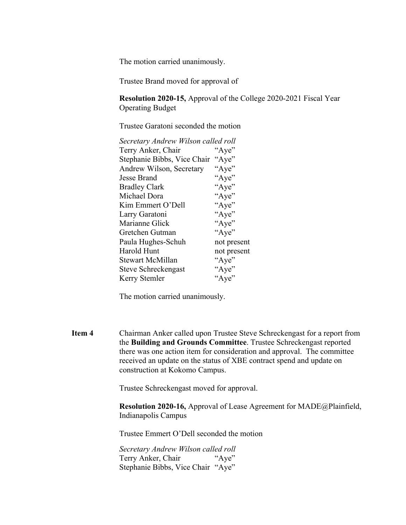Trustee Brand moved for approval of

**Resolution 2020-15,** Approval of the College 2020-2021 Fiscal Year Operating Budget

Trustee Garatoni seconded the motion

| Secretary Andrew Wilson called roll  |
|--------------------------------------|
| "Aye"                                |
| Stephanie Bibbs, Vice Chair<br>"Aye" |
| "Aye"                                |
| "Aye"                                |
| "Aye"                                |
| "Aye"                                |
| "Aye"                                |
| "Aye"                                |
| "Aye"                                |
| "Aye"                                |
| not present                          |
| not present                          |
| "Aye"                                |
| "Aye"                                |
| "Aye"                                |
|                                      |

The motion carried unanimously.

**Item 4** Chairman Anker called upon Trustee Steve Schreckengast for a report from the **Building and Grounds Committee**. Trustee Schreckengast reported there was one action item for consideration and approval. The committee received an update on the status of XBE contract spend and update on construction at Kokomo Campus.

Trustee Schreckengast moved for approval.

**Resolution 2020-16,** Approval of Lease Agreement for MADE@Plainfield, Indianapolis Campus

Trustee Emmert O'Dell seconded the motion

*Secretary Andrew Wilson called roll* Terry Anker, Chair "Aye" Stephanie Bibbs, Vice Chair "Aye"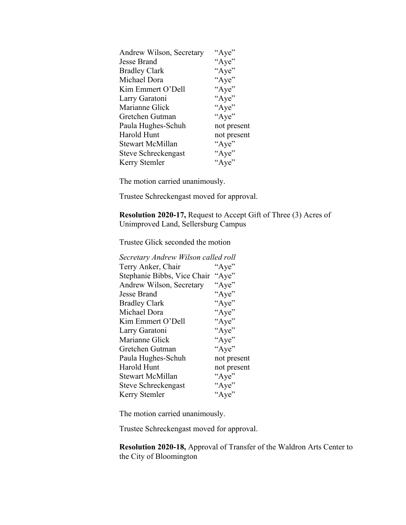| Andrew Wilson, Secretary | "Aye"       |
|--------------------------|-------------|
| Jesse Brand              | "Aye"       |
| <b>Bradley Clark</b>     | "Aye"       |
| Michael Dora             | "Aye"       |
| Kim Emmert O'Dell        | "Aye"       |
| Larry Garatoni           | "Aye"       |
| Marianne Glick           | "Aye"       |
| Gretchen Gutman          | "Aye"       |
| Paula Hughes-Schuh       | not present |
| Harold Hunt              | not present |
| Stewart McMillan         | "Aye"       |
| Steve Schreckengast      | "Aye"       |
| Kerry Stemler            | "Aye"       |

Trustee Schreckengast moved for approval.

**Resolution 2020-17,** Request to Accept Gift of Three (3) Acres of Unimproved Land, Sellersburg Campus

Trustee Glick seconded the motion

| Secretary Andrew Wilson called roll  |
|--------------------------------------|
| "Aye"                                |
| Stephanie Bibbs, Vice Chair<br>"Aye" |
| "Aye"                                |
| "Aye"                                |
| "Aye"                                |
| "Aye"                                |
| "Aye"                                |
| "Aye"                                |
| "Aye"                                |
| "Aye"                                |
| not present                          |
| not present                          |
| "Aye"                                |
| "Aye"                                |
| "Aye"                                |
|                                      |

The motion carried unanimously.

Trustee Schreckengast moved for approval.

**Resolution 2020-18,** Approval of Transfer of the Waldron Arts Center to the City of Bloomington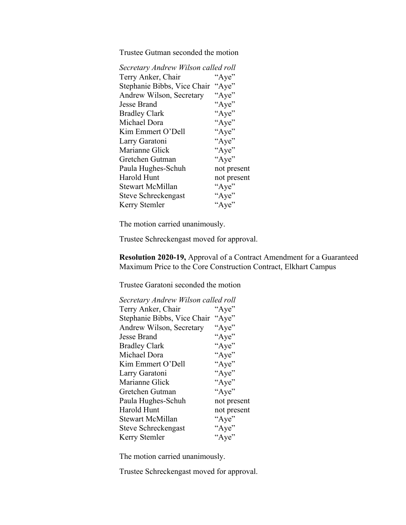Trustee Gutman seconded the motion

| Secretary Andrew Wilson called roll  |
|--------------------------------------|
| "Aye"                                |
| Stephanie Bibbs, Vice Chair<br>"Aye" |
| "Aye"                                |
| "Aye"                                |
| "Aye"                                |
| "Aye"                                |
| "Aye"                                |
| "Aye"                                |
| "Aye"                                |
| "Aye"                                |
| not present                          |
| not present                          |
| "Aye"                                |
| "Aye"                                |
| "Aye"                                |
|                                      |

The motion carried unanimously.

Trustee Schreckengast moved for approval.

**Resolution 2020-19,** Approval of a Contract Amendment for a Guaranteed Maximum Price to the Core Construction Contract, Elkhart Campus

Trustee Garatoni seconded the motion

| Secretary Andrew Wilson called roll |             |
|-------------------------------------|-------------|
| Terry Anker, Chair                  | "Aye"       |
| Stephanie Bibbs, Vice Chair "Aye"   |             |
| Andrew Wilson, Secretary            | "Aye"       |
| Jesse Brand                         | "Aye"       |
| Bradley Clark                       | "Aye"       |
| Michael Dora                        | "Aye"       |
| Kim Emmert O'Dell                   | "Aye"       |
| Larry Garatoni                      | "Aye"       |
| Marianne Glick                      | "Aye"       |
| Gretchen Gutman                     | "Aye"       |
| Paula Hughes-Schuh                  | not present |
| Harold Hunt                         | not present |
| <b>Stewart McMillan</b>             | "Aye"       |
| Steve Schreckengast                 | "Aye"       |
| Kerry Stemler                       | "Aye"       |
|                                     |             |

The motion carried unanimously.

Trustee Schreckengast moved for approval.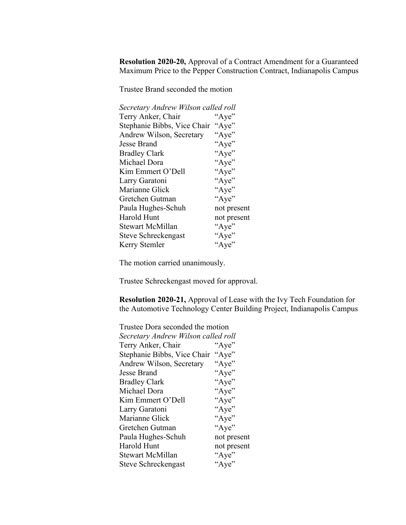**Resolution 2020-20,** Approval of a Contract Amendment for a Guaranteed Maximum Price to the Pepper Construction Contract, Indianapolis Campus

Trustee Brand seconded the motion

| Secretary Andrew Wilson called roll |             |
|-------------------------------------|-------------|
| Terry Anker, Chair                  | "Aye"       |
| Stephanie Bibbs, Vice Chair         | "Aye"       |
| Andrew Wilson, Secretary            | "Aye"       |
| Jesse Brand                         | "Aye"       |
| <b>Bradley Clark</b>                | "Aye"       |
| Michael Dora                        | "Aye"       |
| Kim Emmert O'Dell                   | "Aye"       |
| Larry Garatoni                      | "Aye"       |
| Marianne Glick                      | "Aye"       |
| Gretchen Gutman                     | "Aye"       |
| Paula Hughes-Schuh                  | not present |
| Harold Hunt                         | not present |
| Stewart McMillan                    | "Aye"       |
| Steve Schreckengast                 | "Aye"       |
| Kerry Stemler                       | "Aye"       |
|                                     |             |

The motion carried unanimously.

Trustee Schreckengast moved for approval.

**Resolution 2020-21,** Approval of Lease with the Ivy Tech Foundation for the Automotive Technology Center Building Project, Indianapolis Campus

| Trustee Dora seconded the motion    |             |
|-------------------------------------|-------------|
| Secretary Andrew Wilson called roll |             |
| Terry Anker, Chair                  | "Aye"       |
| Stephanie Bibbs, Vice Chair         | "Aye"       |
| Andrew Wilson, Secretary            | "Aye"       |
| Jesse Brand                         | "Aye"       |
| <b>Bradley Clark</b>                | "Aye"       |
| Michael Dora                        | "Aye"       |
| Kim Emmert O'Dell                   | "Aye"       |
| Larry Garatoni                      | "Aye"       |
| Marianne Glick                      | "Aye"       |
| Gretchen Gutman                     | "Aye"       |
| Paula Hughes-Schuh                  | not present |
| Harold Hunt                         | not present |
| <b>Stewart McMillan</b>             | "Aye"       |
| Steve Schreckengast                 | "Aye"       |
|                                     |             |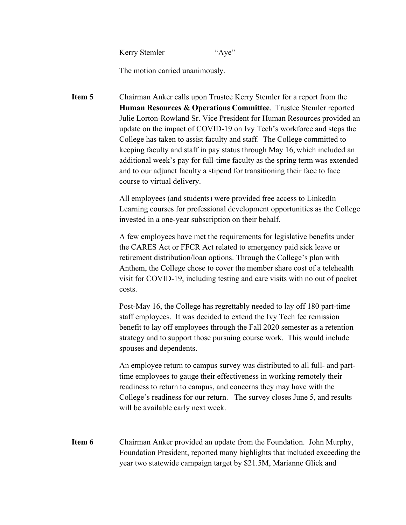Kerry Stemler "Aye"

The motion carried unanimously.

**Item 5** Chairman Anker calls upon Trustee Kerry Stemler for a report from the **Human Resources & Operations Committee**. Trustee Stemler reported Julie Lorton-Rowland Sr. Vice President for Human Resources provided an update on the impact of COVID-19 on Ivy Tech's workforce and steps the College has taken to assist faculty and staff. The College committed to keeping faculty and staff in pay status through May 16, which included an additional week's pay for full-time faculty as the spring term was extended and to our adjunct faculty a stipend for transitioning their face to face course to virtual delivery.

> All employees (and students) were provided free access to LinkedIn Learning courses for professional development opportunities as the College invested in a one-year subscription on their behalf.

A few employees have met the requirements for legislative benefits under the CARES Act or FFCR Act related to emergency paid sick leave or retirement distribution/loan options. Through the College's plan with Anthem, the College chose to cover the member share cost of a telehealth visit for COVID-19, including testing and care visits with no out of pocket costs.

Post-May 16, the College has regrettably needed to lay off 180 part-time staff employees. It was decided to extend the Ivy Tech fee remission benefit to lay off employees through the Fall 2020 semester as a retention strategy and to support those pursuing course work. This would include spouses and dependents.

An employee return to campus survey was distributed to all full- and parttime employees to gauge their effectiveness in working remotely their readiness to return to campus, and concerns they may have with the College's readiness for our return. The survey closes June 5, and results will be available early next week.

**Item 6** Chairman Anker provided an update from the Foundation. John Murphy, Foundation President, reported many highlights that included exceeding the year two statewide campaign target by \$21.5M, Marianne Glick and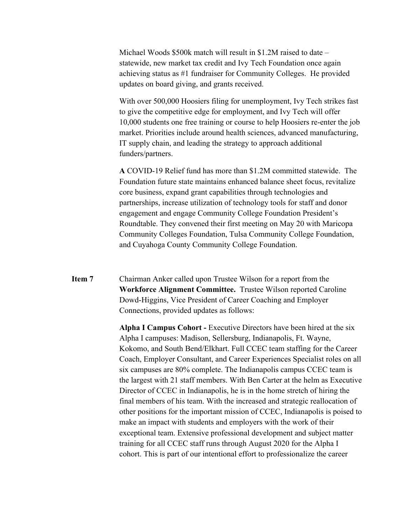Michael Woods \$500k match will result in \$1.2M raised to date – statewide, new market tax credit and Ivy Tech Foundation once again achieving status as #1 fundraiser for Community Colleges. He provided updates on board giving, and grants received.

With over 500,000 Hoosiers filing for unemployment, Ivy Tech strikes fast to give the competitive edge for employment, and Ivy Tech will offer 10,000 students one free training or course to help Hoosiers re-enter the job market. Priorities include around health sciences, advanced manufacturing, IT supply chain, and leading the strategy to approach additional funders/partners.

**A** COVID-19 Relief fund has more than \$1.2M committed statewide. The Foundation future state maintains enhanced balance sheet focus, revitalize core business, expand grant capabilities through technologies and partnerships, increase utilization of technology tools for staff and donor engagement and engage Community College Foundation President's Roundtable. They convened their first meeting on May 20 with Maricopa Community Colleges Foundation, Tulsa Community College Foundation, and Cuyahoga County Community College Foundation.

# **Item 7** Chairman Anker called upon Trustee Wilson for a report from the **Workforce Alignment Committee.** Trustee Wilson reported Caroline Dowd-Higgins, Vice President of Career Coaching and Employer Connections, provided updates as follows:

**Alpha I Campus Cohort -** Executive Directors have been hired at the six Alpha I campuses: Madison, Sellersburg, Indianapolis, Ft. Wayne, Kokomo, and South Bend/Elkhart. Full CCEC team staffing for the Career Coach, Employer Consultant, and Career Experiences Specialist roles on all six campuses are 80% complete. The Indianapolis campus CCEC team is the largest with 21 staff members. With Ben Carter at the helm as Executive Director of CCEC in Indianapolis, he is in the home stretch of hiring the final members of his team. With the increased and strategic reallocation of other positions for the important mission of CCEC, Indianapolis is poised to make an impact with students and employers with the work of their exceptional team. Extensive professional development and subject matter training for all CCEC staff runs through August 2020 for the Alpha I cohort. This is part of our intentional effort to professionalize the career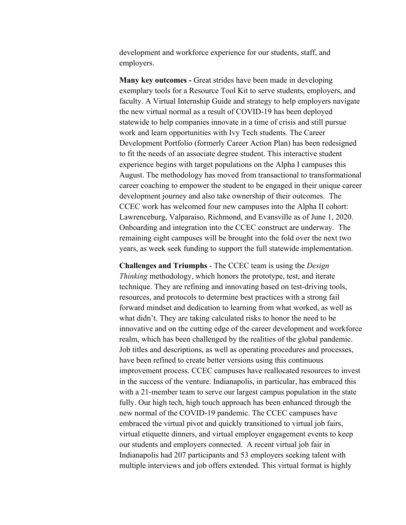development and workforce experience for our students, staff, and employers.

**Many key outcomes -** Great strides have been made in developing exemplary tools for a Resource Tool Kit to serve students, employers, and faculty. A Virtual Internship Guide and strategy to help employers navigate the new virtual normal as a result of COVID-19 has been deployed statewide to help companies innovate in a time of crisis and still pursue work and learn opportunities with Ivy Tech students. The Career Development Portfolio (formerly Career Action Plan) has been redesigned to fit the needs of an associate degree student. This interactive student experience begins with target populations on the Alpha I campuses this August. The methodology has moved from transactional to transformational career coaching to empower the student to be engaged in their unique career development journey and also take ownership of their outcomes. The CCEC work has welcomed four new campuses into the Alpha II cohort: Lawrenceburg, Valparaiso, Richmond, and Evansville as of June 1, 2020. Onboarding and integration into the CCEC construct are underway. The remaining eight campuses will be brought into the fold over the next two years, as week seek funding to support the full statewide implementation.

**Challenges and Triumphs** - The CCEC team is using the *Design Thinking* methodology, which honors the prototype, test, and iterate technique. They are refining and innovating based on test-driving tools, resources, and protocols to determine best practices with a strong fail forward mindset and dedication to learning from what worked, as well as what didn't. They are taking calculated risks to honor the need to be innovative and on the cutting edge of the career development and workforce realm, which has been challenged by the realities of the global pandemic. Job titles and descriptions, as well as operating procedures and processes, have been refined to create better versions using this continuous improvement process. CCEC campuses have reallocated resources to invest in the success of the venture. Indianapolis, in particular, has embraced this with a 21-member team to serve our largest campus population in the state fully. Our high tech, high touch approach has been enhanced through the new normal of the COVID-19 pandemic. The CCEC campuses have embraced the virtual pivot and quickly transitioned to virtual job fairs, virtual etiquette dinners, and virtual employer engagement events to keep our students and employers connected. A recent virtual job fair in Indianapolis had 207 participants and 53 employers seeking talent with multiple interviews and job offers extended. This virtual format is highly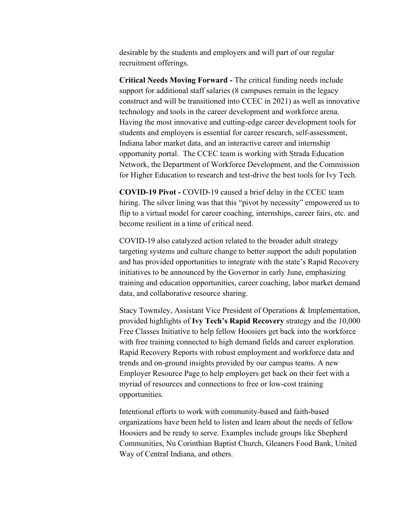desirable by the students and employers and will part of our regular recruitment offerings.

**Critical Needs Moving Forward -** The critical funding needs include support for additional staff salaries (8 campuses remain in the legacy construct and will be transitioned into CCEC in 2021) as well as innovative technology and tools in the career development and workforce arena. Having the most innovative and cutting-edge career development tools for students and employers is essential for career research, self-assessment, Indiana labor market data, and an interactive career and internship opportunity portal. The CCEC team is working with Strada Education Network, the Department of Workforce Development, and the Commission for Higher Education to research and test-drive the best tools for Ivy Tech.

**COVID-19 Pivot -** COVID-19 caused a brief delay in the CCEC team hiring. The silver lining was that this "pivot by necessity" empowered us to flip to a virtual model for career coaching, internships, career fairs, etc. and become resilient in a time of critical need.

COVID-19 also catalyzed action related to the broader adult strategy targeting systems and culture change to better support the adult population and has provided opportunities to integrate with the state's Rapid Recovery initiatives to be announced by the Governor in early June, emphasizing training and education opportunities, career coaching, labor market demand data, and collaborative resource sharing.

Stacy Townsley, Assistant Vice President of Operations & Implementation, provided highlights of **Ivy Tech's Rapid Recovery** strategy and the 10,000 Free Classes Initiative to help fellow Hoosiers get back into the workforce with free training connected to high demand fields and career exploration. Rapid Recovery Reports with robust employment and workforce data and trends and on-ground insights provided by our campus teams. A new Employer Resource Page to help employers get back on their feet with a myriad of resources and connections to free or low-cost training opportunities.

Intentional efforts to work with community-based and faith-based organizations have been held to listen and learn about the needs of fellow Hoosiers and be ready to serve. Examples include groups like Shepherd Communities, Nu Corinthian Baptist Church, Gleaners Food Bank, United Way of Central Indiana, and others.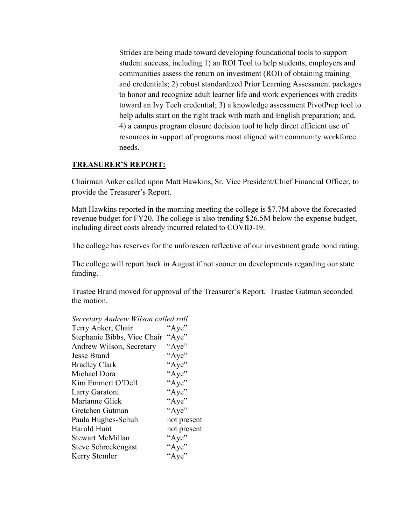Strides are being made toward developing foundational tools to support student success, including 1) an ROI Tool to help students, employers and communities assess the return on investment (ROI) of obtaining training and credentials; 2) robust standardized Prior Learning Assessment packages to honor and recognize adult learner life and work experiences with credits toward an Ivy Tech credential; 3) a knowledge assessment PivotPrep tool to help adults start on the right track with math and English preparation; and, 4) a campus program closure decision tool to help direct efficient use of resources in support of programs most aligned with community workforce needs.

### **TREASURER'S REPORT:**

Chairman Anker called upon Matt Hawkins, Sr. Vice President/Chief Financial Officer, to provide the Treasurer's Report.

Matt Hawkins reported in the morning meeting the college is \$7.7M above the forecasted revenue budget for FY20. The college is also trending \$26.5M below the expense budget, including direct costs already incurred related to COVID-19.

The college has reserves for the unforeseen reflective of our investment grade bond rating.

The college will report back in August if not sooner on developments regarding our state funding.

Trustee Brand moved for approval of the Treasurer's Report. Trustee Gutman seconded the motion.

| Secretary Andrew Wilson called roll |
|-------------------------------------|
| "Aye"                               |
| "Aye"                               |
| "Aye"                               |
| "Aye"                               |
| "Aye"                               |
| "Aye"                               |
| "Aye"                               |
| "Aye"                               |
| "Aye"                               |
| "Aye"                               |
| not present                         |
| not present                         |
| "Aye"                               |
| "Aye"                               |
| "Aye"                               |
|                                     |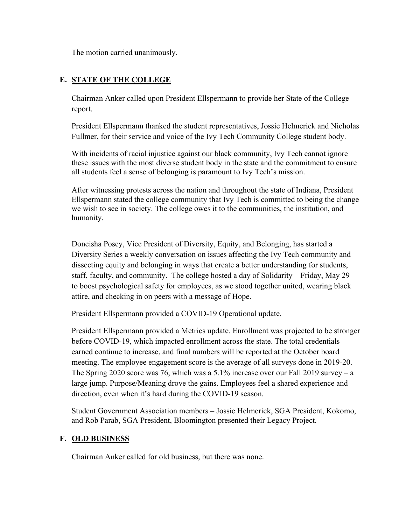# **E. STATE OF THE COLLEGE**

Chairman Anker called upon President Ellspermann to provide her State of the College report.

President Ellspermann thanked the student representatives, Jossie Helmerick and Nicholas Fullmer, for their service and voice of the Ivy Tech Community College student body.

With incidents of racial injustice against our black community, Ivy Tech cannot ignore these issues with the most diverse student body in the state and the commitment to ensure all students feel a sense of belonging is paramount to Ivy Tech's mission.

After witnessing protests across the nation and throughout the state of Indiana, President Ellspermann stated the college community that Ivy Tech is committed to being the change we wish to see in society. The college owes it to the communities, the institution, and humanity.

Doneisha Posey, Vice President of Diversity, Equity, and Belonging, has started a Diversity Series a weekly conversation on issues affecting the Ivy Tech community and dissecting equity and belonging in ways that create a better understanding for students, staff, faculty, and community. The college hosted a day of Solidarity – Friday, May 29 – to boost psychological safety for employees, as we stood together united, wearing black attire, and checking in on peers with a message of Hope.

President Ellspermann provided a COVID-19 Operational update.

President Ellspermann provided a Metrics update. Enrollment was projected to be stronger before COVID-19, which impacted enrollment across the state. The total credentials earned continue to increase, and final numbers will be reported at the October board meeting. The employee engagement score is the average of all surveys done in 2019-20. The Spring 2020 score was 76, which was a 5.1% increase over our Fall 2019 survey – a large jump. Purpose/Meaning drove the gains. Employees feel a shared experience and direction, even when it's hard during the COVID-19 season.

Student Government Association members – Jossie Helmerick, SGA President, Kokomo, and Rob Parab, SGA President, Bloomington presented their Legacy Project.

### **F. OLD BUSINESS**

Chairman Anker called for old business, but there was none.